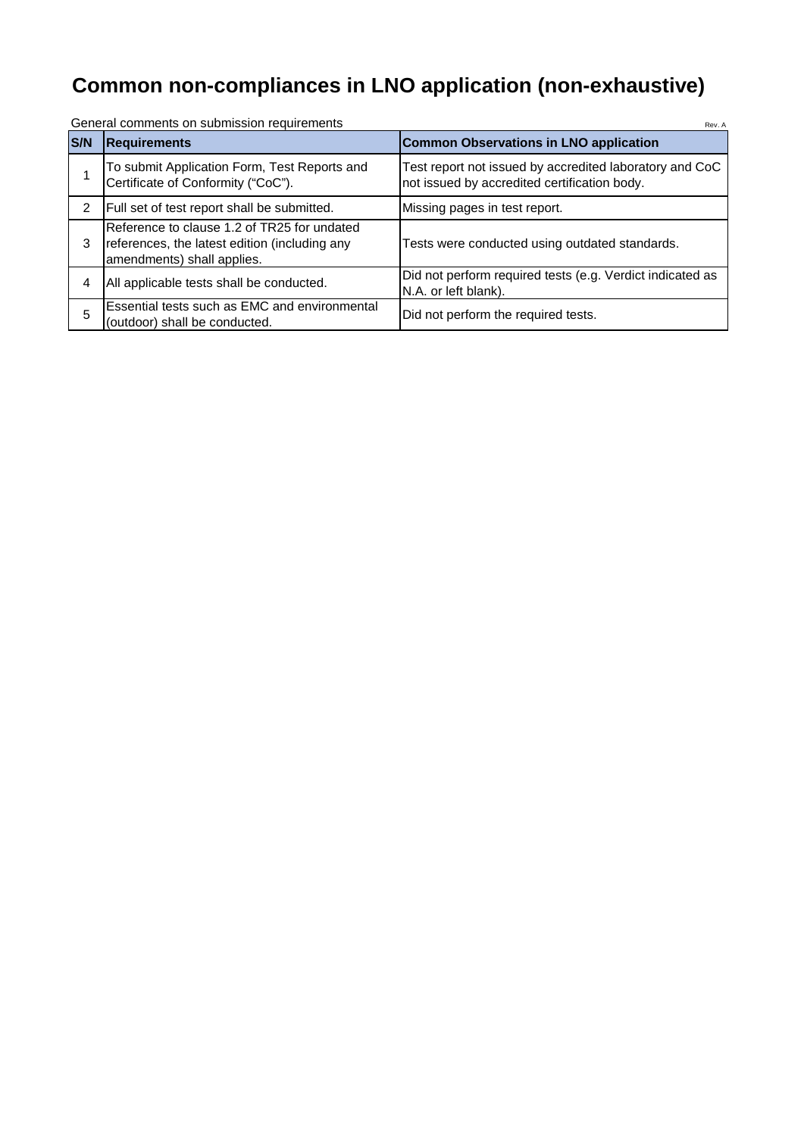## **Common non-compliances in LNO application (non-exhaustive)**

| <b>S/N</b> | <b>Requirements</b>                                                                                                        | <b>Common Observations in LNO application</b>                                                           |  |  |  |
|------------|----------------------------------------------------------------------------------------------------------------------------|---------------------------------------------------------------------------------------------------------|--|--|--|
|            | To submit Application Form, Test Reports and<br>Certificate of Conformity ("CoC").                                         | Test report not issued by accredited laboratory and CoC<br>not issued by accredited certification body. |  |  |  |
| 2          | Full set of test report shall be submitted.                                                                                | Missing pages in test report.                                                                           |  |  |  |
| 3          | Reference to clause 1.2 of TR25 for undated<br>references, the latest edition (including any<br>amendments) shall applies. | Tests were conducted using outdated standards.                                                          |  |  |  |
| 4          | All applicable tests shall be conducted.                                                                                   | Did not perform required tests (e.g. Verdict indicated as<br>N.A. or left blank).                       |  |  |  |
| 5          | Essential tests such as EMC and environmental<br>(outdoor) shall be conducted.                                             | Did not perform the required tests.                                                                     |  |  |  |

General comments on submission requirements According to the Contract of Rev. According Rev. According Rev. According Rev. According Rev. According Rev. According Rev. According Rev. According Rev. According Rev. According